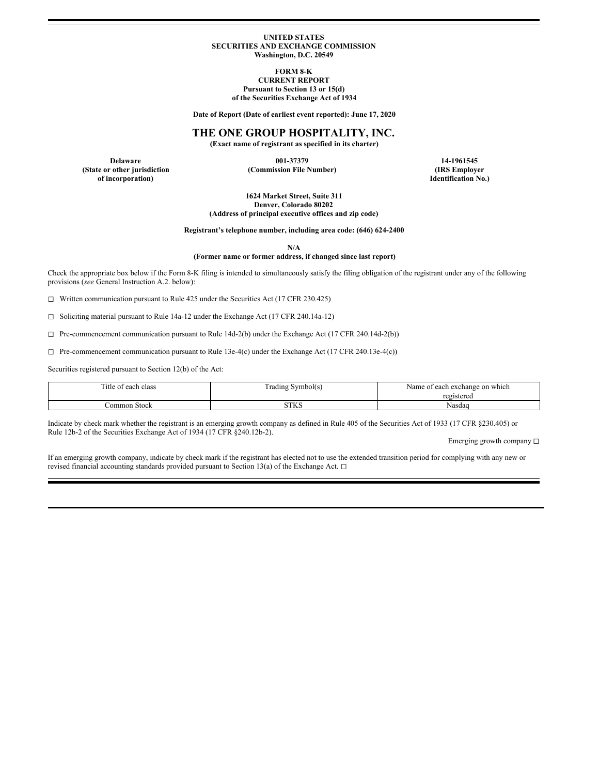#### **UNITED STATES SECURITIES AND EXCHANGE COMMISSION Washington, D.C. 20549**

**FORM 8-K**

### **CURRENT REPORT Pursuant to Section 13 or 15(d) of the Securities Exchange Act of 1934**

**Date of Report (Date of earliest event reported): June 17, 2020**

# **THE ONE GROUP HOSPITALITY, INC.**

**(Exact name of registrant as specified in its charter)**

**Delaware 001-37379 14-1961545 (State or other jurisdiction (Commission File Number) (IRS Employer**

**of incorporation) Identification No.)**

**1624 Market Street, Suite 311 Denver, Colorado 80202 (Address of principal executive offices and zip code)**

**Registrant's telephone number, including area code: (646) 624-2400**

**N/A**

### **(Former name or former address, if changed since last report)**

Check the appropriate box below if the Form 8-K filing is intended to simultaneously satisfy the filing obligation of the registrant under any of the following provisions (*see* General Instruction A.2. below):

◻ Written communication pursuant to Rule 425 under the Securities Act (17 CFR 230.425)

◻ Soliciting material pursuant to Rule 14a-12 under the Exchange Act (17 CFR 240.14a-12)

◻ Pre-commencement communication pursuant to Rule 14d-2(b) under the Exchange Act (17 CFR 240.14d-2(b))

 $\Box$  Pre-commencement communication pursuant to Rule 13e-4(c) under the Exchange Act (17 CFR 240.13e-4(c))

Securities registered pursuant to Section 12(b) of the Act:

| $\sim$<br><sup>1</sup> tle<br>class<br>each | Symbol(s)<br>radıng r | h exchange on which<br>Name of each |
|---------------------------------------------|-----------------------|-------------------------------------|
|                                             |                       | registered                          |
| Common Stock                                | CTTLO<br>31 N.Y       | Nasdaq                              |

Indicate by check mark whether the registrant is an emerging growth company as defined in Rule 405 of the Securities Act of 1933 (17 CFR §230.405) or Rule 12b-2 of the Securities Exchange Act of 1934 (17 CFR §240.12b-2).

Emerging growth company □

If an emerging growth company, indicate by check mark if the registrant has elected not to use the extended transition period for complying with any new or revised financial accounting standards provided pursuant to Section 13(a) of the Exchange Act. □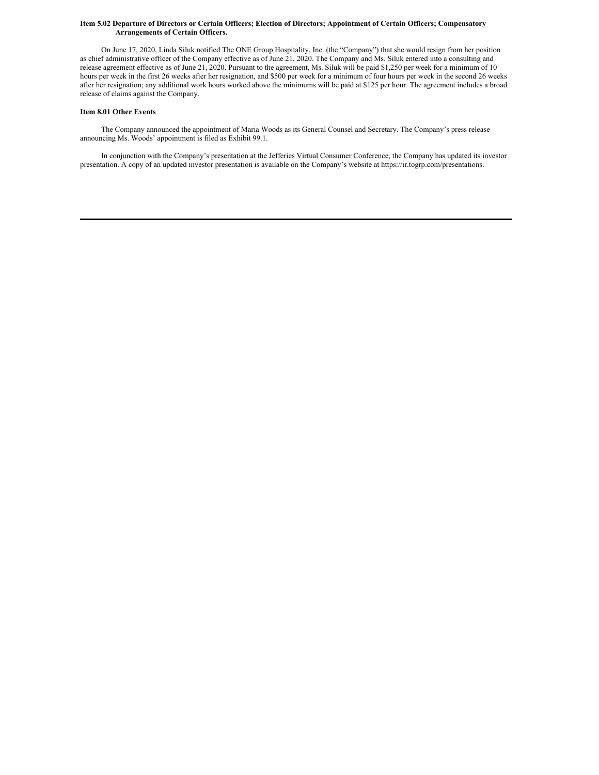#### Item 5.02 Departure of Directors or Certain Officers; Election of Directors; Appointment of Certain Officers; Compensatory **Arrangements of Certain Officers.**

On June 17, 2020, Linda Siluk notified The ONE Group Hospitality, Inc. (the "Company") that she would resign from her position as chief administrative officer of the Company effective as of June 21, 2020. The Company and Ms. Siluk entered into a consulting and release agreement effective as of June 21, 2020. Pursuant to the agreement, Ms. Siluk will be paid \$1,250 per week for a minimum of 10 hours per week in the first 26 weeks after her resignation, and \$500 per week for a minimum of four hours per week in the second 26 weeks after her resignation; any additional work hours worked above the minimums will be paid at \$125 per hour. The agreement includes a broad release of claims against the Company.

### **Item 8.01 Other Events**

The Company announced the appointment of Maria Woods as its General Counsel and Secretary. The Company's press release announcing Ms. Woods' appointment is filed as Exhibit 99.1.

In conjunction with the Company's presentation at the Jefferies Virtual Consumer Conference, the Company has updated its investor presentation. A copy of an updated investor presentation is available on the Company's website at https://ir.togrp.com/presentations.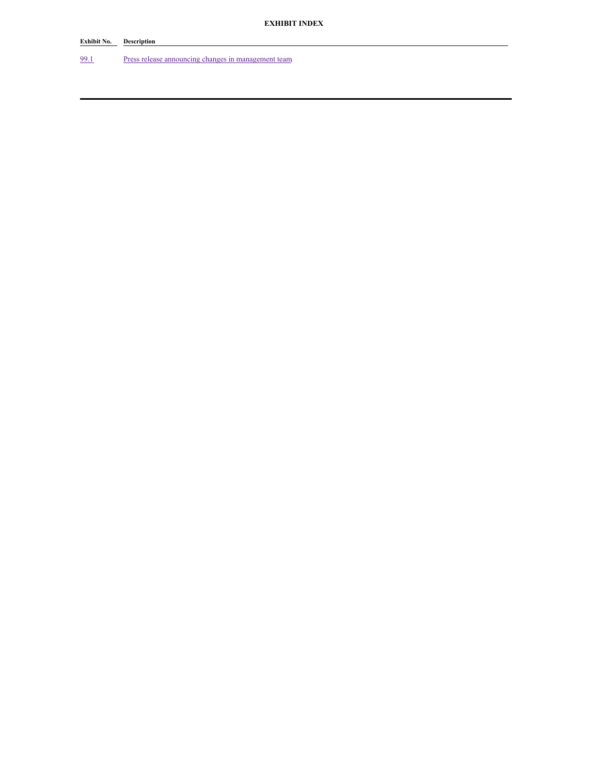# **Exhibit No. Description**

[99.1](#page-4-0) Press release announcing changes in [management](#page-4-0) team.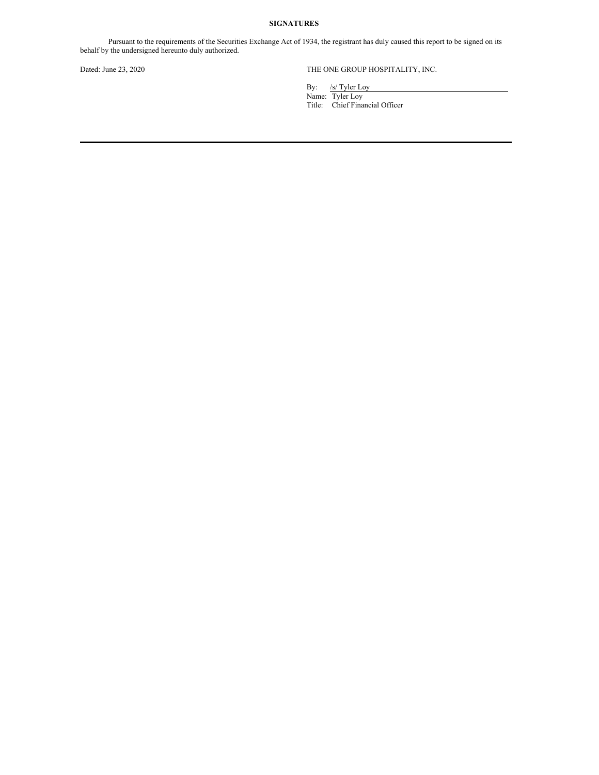### **SIGNATURES**

Pursuant to the requirements of the Securities Exchange Act of 1934, the registrant has duly caused this report to be signed on its behalf by the undersigned hereunto duly authorized.

## Dated: June 23, 2020 THE ONE GROUP HOSPITALITY, INC.

By: /s/ Tyler Loy

Name: Tyler Loy Title: Chief Financial Officer